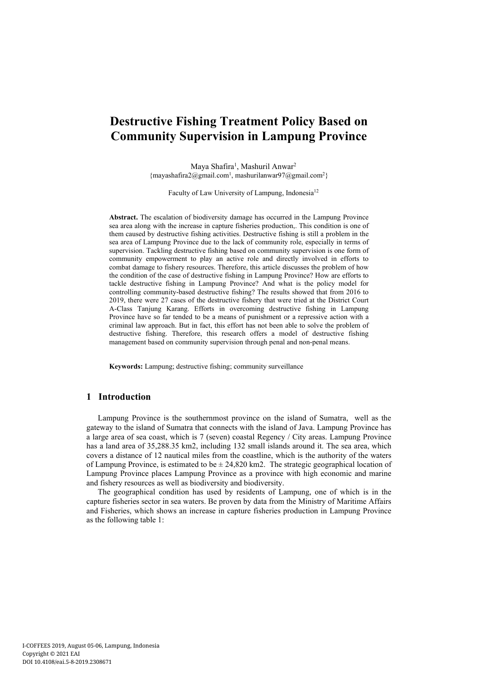# **Destructive Fishing Treatment Policy Based on Community Supervision in Lampung Province**

Maya Shafira<sup>1</sup>, Mashuril Anwar<sup>2</sup> {mayashafira2@gmail.com<sup>1</sup> , mashurilanwar97@gmail.com<sup>2</sup>}

Faculty of Law University of Lampung, Indonesia<sup>12</sup>

**Abstract.** The escalation of biodiversity damage has occurred in the Lampung Province sea area along with the increase in capture fisheries production,. This condition is one of them caused by destructive fishing activities. Destructive fishing is still a problem in the sea area of Lampung Province due to the lack of community role, especially in terms of supervision. Tackling destructive fishing based on community supervision is one form of community empowerment to play an active role and directly involved in efforts to combat damage to fishery resources. Therefore, this article discusses the problem of how the condition of the case of destructive fishing in Lampung Province? How are efforts to tackle destructive fishing in Lampung Province? And what is the policy model for controlling community-based destructive fishing? The results showed that from 2016 to 2019, there were 27 cases of the destructive fishery that were tried at the District Court A-Class Tanjung Karang. Efforts in overcoming destructive fishing in Lampung Province have so far tended to be a means of punishment or a repressive action with a criminal law approach. But in fact, this effort has not been able to solve the problem of destructive fishing. Therefore, this research offers a model of destructive fishing management based on community supervision through penal and non-penal means.

**Keywords:** Lampung; destructive fishing; community surveillance

# **1 Introduction**

Lampung Province is the southernmost province on the island of Sumatra, well as the gateway to the island of Sumatra that connects with the island of Java. Lampung Province has a large area of sea coast, which is 7 (seven) coastal Regency / City areas. Lampung Province has a land area of 35,288.35 km2, including 132 small islands around it. The sea area, which covers a distance of 12 nautical miles from the coastline, which is the authority of the waters of Lampung Province, is estimated to be  $\pm$  24,820 km2. The strategic geographical location of Lampung Province places Lampung Province as a province with high economic and marine and fishery resources as well as biodiversity and biodiversity.

The geographical condition has used by residents of Lampung, one of which is in the capture fisheries sector in sea waters. Be proven by data from the Ministry of Maritime Affairs and Fisheries, which shows an increase in capture fisheries production in Lampung Province as the following table 1: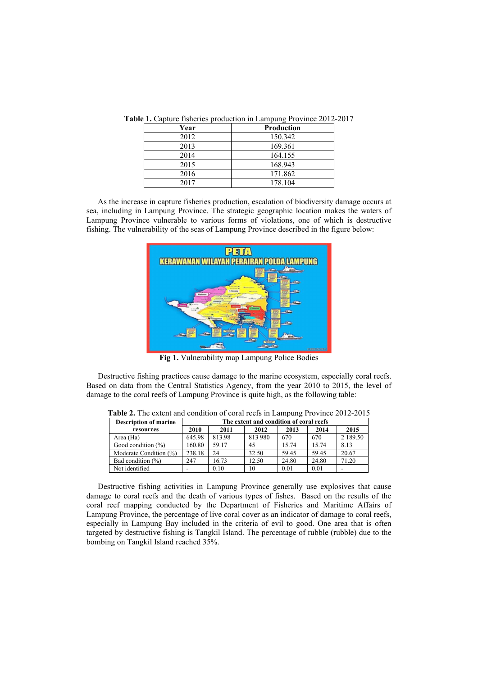| Year | Production |
|------|------------|
| 2012 | 150.342    |
| 2013 | 169.361    |
| 2014 | 164.155    |
| 2015 | 168.943    |
| 2016 | 171.862    |
| 2017 | 178.104    |

**Table 1.** Capture fisheries production in Lampung Province 2012-2017

As the increase in capture fisheries production, escalation of biodiversity damage occurs at sea, including in Lampung Province. The strategic geographic location makes the waters of Lampung Province vulnerable to various forms of violations, one of which is destructive fishing. The vulnerability of the seas of Lampung Province described in the figure below:



**Fig 1.** Vulnerability map Lampung Police Bodies

Destructive fishing practices cause damage to the marine ecosystem, especially coral reefs. Based on data from the Central Statistics Agency, from the year 2010 to 2015, the level of damage to the coral reefs of Lampung Province is quite high, as the following table:

| <b>Description of marine</b> | The extent and condition of coral reefs |        |         |       |       |          |
|------------------------------|-----------------------------------------|--------|---------|-------|-------|----------|
| resources                    | 2010                                    | 2011   | 2012    | 2013  | 2014  | 2015     |
| Area (Ha)                    | 645.98                                  | 813.98 | 813 980 | 670   | 670   | 2 189.50 |
| Good condition $(\% )$       | 160.80                                  | 59.17  | 45      | 15.74 | 15.74 | 8.13     |
| Moderate Condition (%)       | 238.18                                  | 24     | 32.50   | 59.45 | 59.45 | 20.67    |
| Bad condition $(\% )$        | 247                                     | 16.73  | 12.50   | 24.80 | 24.80 | 71.20    |
| Not identified               |                                         | 0.10   | 10      | 0.01  | 0.01  |          |

**Table 2.** The extent and condition of coral reefs in Lampung Province 2012-2015

Destructive fishing activities in Lampung Province generally use explosives that cause damage to coral reefs and the death of various types of fishes. Based on the results of the coral reef mapping conducted by the Department of Fisheries and Maritime Affairs of Lampung Province, the percentage of live coral cover as an indicator of damage to coral reefs, especially in Lampung Bay included in the criteria of evil to good. One area that is often targeted by destructive fishing is Tangkil Island. The percentage of rubble (rubble) due to the bombing on Tangkil Island reached 35%.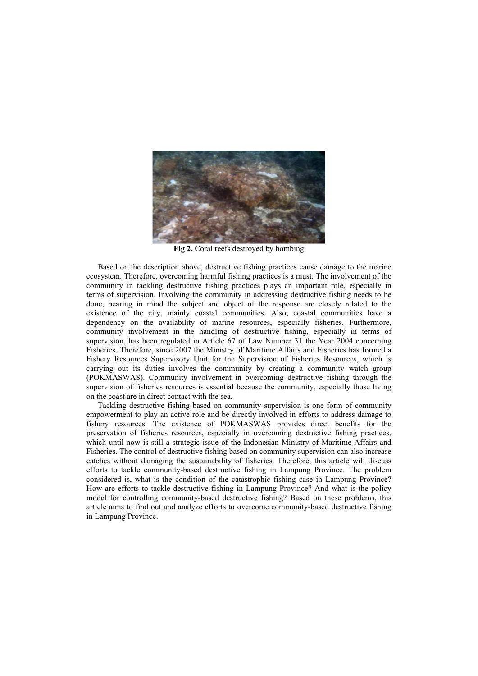

**Fig 2.** Coral reefs destroyed by bombing

Based on the description above, destructive fishing practices cause damage to the marine ecosystem. Therefore, overcoming harmful fishing practices is a must. The involvement of the community in tackling destructive fishing practices plays an important role, especially in terms of supervision. Involving the community in addressing destructive fishing needs to be done, bearing in mind the subject and object of the response are closely related to the existence of the city, mainly coastal communities. Also, coastal communities have a dependency on the availability of marine resources, especially fisheries. Furthermore, community involvement in the handling of destructive fishing, especially in terms of supervision, has been regulated in Article 67 of Law Number 31 the Year 2004 concerning Fisheries. Therefore, since 2007 the Ministry of Maritime Affairs and Fisheries has formed a Fishery Resources Supervisory Unit for the Supervision of Fisheries Resources, which is carrying out its duties involves the community by creating a community watch group (POKMASWAS). Community involvement in overcoming destructive fishing through the supervision of fisheries resources is essential because the community, especially those living on the coast are in direct contact with the sea.

Tackling destructive fishing based on community supervision is one form of community empowerment to play an active role and be directly involved in efforts to address damage to fishery resources. The existence of POKMASWAS provides direct benefits for the preservation of fisheries resources, especially in overcoming destructive fishing practices, which until now is still a strategic issue of the Indonesian Ministry of Maritime Affairs and Fisheries. The control of destructive fishing based on community supervision can also increase catches without damaging the sustainability of fisheries. Therefore, this article will discuss efforts to tackle community-based destructive fishing in Lampung Province. The problem considered is, what is the condition of the catastrophic fishing case in Lampung Province? How are efforts to tackle destructive fishing in Lampung Province? And what is the policy model for controlling community-based destructive fishing? Based on these problems, this article aims to find out and analyze efforts to overcome community-based destructive fishing in Lampung Province.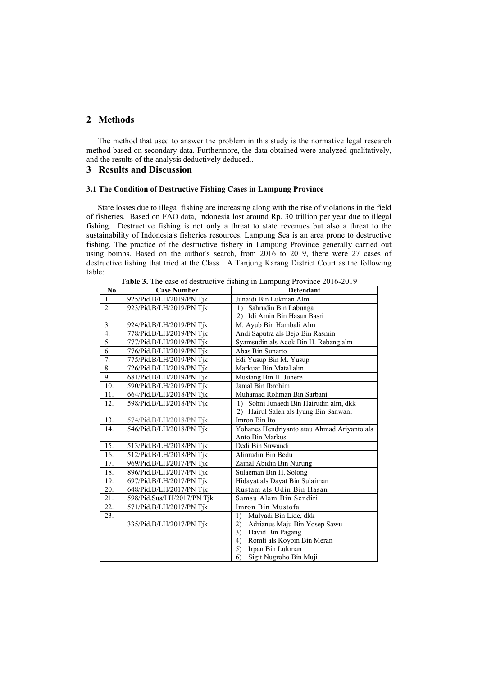# **2 Methods**

The method that used to answer the problem in this study is the normative legal research method based on secondary data. Furthermore, the data obtained were analyzed qualitatively, and the results of the analysis deductively deduced..

## **3 Results and Discussion**

## **3.1 The Condition of Destructive Fishing Cases in Lampung Province**

State losses due to illegal fishing are increasing along with the rise of violations in the field of fisheries. Based on FAO data, Indonesia lost around Rp. 30 trillion per year due to illegal fishing. Destructive fishing is not only a threat to state revenues but also a threat to the sustainability of Indonesia's fisheries resources. Lampung Sea is an area prone to destructive fishing. The practice of the destructive fishery in Lampung Province generally carried out using bombs. Based on the author's search, from 2016 to 2019, there were 27 cases of destructive fishing that tried at the Class I A Tanjung Karang District Court as the following table:

| Table 3. The case of destructive fishing in Lampung Province 2016-2019 |  |
|------------------------------------------------------------------------|--|
|------------------------------------------------------------------------|--|

| No  | <b>Case Number</b>         | <b>The CASE of GOSTROLLY</b> Homing in Bampang 1107 mee 2010 2017<br>Defendant |
|-----|----------------------------|--------------------------------------------------------------------------------|
| 1.  | 925/Pid.B/LH/2019/PN Tjk   | Junaidi Bin Lukman Alm                                                         |
| 2.  | 923/Pid.B/LH/2019/PN Tjk   | 1) Sahrudin Bin Labunga                                                        |
|     |                            | 2) Idi Amin Bin Hasan Basri                                                    |
| 3.  | 924/Pid.B/LH/2019/PN Tik   | M. Ayub Bin Hambali Alm                                                        |
| 4.  | 778/Pid.B/LH/2019/PN Tjk   | Andi Saputra als Bejo Bin Rasmin                                               |
| 5.  | 777/Pid.B/LH/2019/PN Tjk   | Syamsudin als Acok Bin H. Rebang alm                                           |
| 6.  | 776/Pid.B/LH/2019/PN Tjk   | Abas Bin Sunarto                                                               |
| 7.  | 775/Pid.B/LH/2019/PN Tjk   | Edi Yusup Bin M. Yusup                                                         |
| 8.  | 726/Pid.B/LH/2019/PN Tik   | Markuat Bin Matal alm                                                          |
| 9.  | 681/Pid.B/LH/2019/PN Tik   | Mustang Bin H. Juhere                                                          |
| 10. | 590/Pid.B/LH/2019/PN Tik   | Jamal Bin Ibrohim                                                              |
| 11. | 664/Pid.B/LH/2018/PN Tjk   | Muhamad Rohman Bin Sarbani                                                     |
| 12. | 598/Pid.B/LH/2018/PN Tjk   | 1) Sohni Junaedi Bin Hairudin alm, dkk                                         |
|     |                            | Hairul Saleh als Iyung Bin Sanwani<br>(2)                                      |
| 13. | 574/Pid.B/LH/2018/PN Tjk   | Imron Bin Ito                                                                  |
| 14. | 546/Pid.B/LH/2018/PN Tjk   | Yohanes Hendriyanto atau Ahmad Ariyanto als                                    |
|     |                            | Anto Bin Markus                                                                |
| 15. | 513/Pid.B/LH/2018/PN Tjk   | Dedi Bin Suwandi                                                               |
| 16. | 512/Pid.B/LH/2018/PN Tjk   | Alimudin Bin Bedu                                                              |
| 17. | 969/Pid.B/LH/2017/PN Tik   | Zainal Abidin Bin Nurung                                                       |
| 18. | 896/Pid.B/LH/2017/PN Tik   | Sulaeman Bin H. Solong                                                         |
| 19. | 697/Pid.B/LH/2017/PN Tjk   | Hidayat als Dayat Bin Sulaiman                                                 |
| 20. | 648/Pid.B/LH/2017/PN Tjk   | Rustam als Udin Bin Hasan                                                      |
| 21. | 598/Pid.Sus/LH/2017/PN Tik | Samsu Alam Bin Sendiri                                                         |
| 22. | 571/Pid.B/LH/2017/PN Tjk   | Imron Bin Mustofa                                                              |
| 23. |                            | Mulyadi Bin Lide, dkk<br>1)                                                    |
|     | 335/Pid.B/LH/2017/PN Tjk   | Adrianus Maju Bin Yosep Sawu<br>2)                                             |
|     |                            | David Bin Pagang<br>3)                                                         |
|     |                            | Romli als Koyom Bin Meran<br>4)                                                |
|     |                            | Irpan Bin Lukman<br>5)                                                         |
|     |                            | 6)<br>Sigit Nugroho Bin Muji                                                   |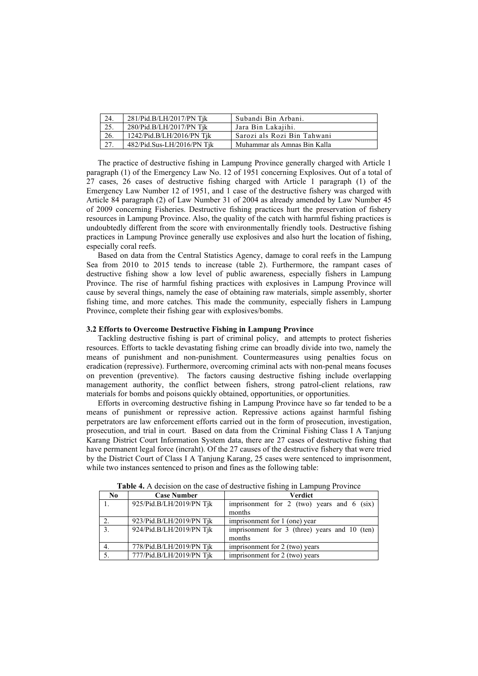| 24.  | 281/Pid.B/LH/2017/PN Tjk   | Subandi Bin Arbani.          |
|------|----------------------------|------------------------------|
| 25.  | 280/Pid.B/LH/2017/PN Tik   | Jara Bin Lakajihi.           |
| 26.  | 1242/Pid.B/LH/2016/PN Tik  | Sarozi als Rozi Bin Tahwani  |
| 127. | 482/Pid.Sus-LH/2016/PN Tik | Muhammar als Amnas Bin Kalla |

The practice of destructive fishing in Lampung Province generally charged with Article 1 paragraph (1) of the Emergency Law No. 12 of 1951 concerning Explosives. Out of a total of 27 cases, 26 cases of destructive fishing charged with Article 1 paragraph (1) of the Emergency Law Number 12 of 1951, and 1 case of the destructive fishery was charged with Article 84 paragraph (2) of Law Number 31 of 2004 as already amended by Law Number 45 of 2009 concerning Fisheries. Destructive fishing practices hurt the preservation of fishery resources in Lampung Province. Also, the quality of the catch with harmful fishing practices is undoubtedly different from the score with environmentally friendly tools. Destructive fishing practices in Lampung Province generally use explosives and also hurt the location of fishing, especially coral reefs.

Based on data from the Central Statistics Agency, damage to coral reefs in the Lampung Sea from 2010 to 2015 tends to increase (table 2). Furthermore, the rampant cases of destructive fishing show a low level of public awareness, especially fishers in Lampung Province. The rise of harmful fishing practices with explosives in Lampung Province will cause by several things, namely the ease of obtaining raw materials, simple assembly, shorter fishing time, and more catches. This made the community, especially fishers in Lampung Province, complete their fishing gear with explosives/bombs.

## **3.2 Efforts to Overcome Destructive Fishing in Lampung Province**

Tackling destructive fishing is part of criminal policy, and attempts to protect fisheries resources. Efforts to tackle devastating fishing crime can broadly divide into two, namely the means of punishment and non-punishment. Countermeasures using penalties focus on eradication (repressive). Furthermore, overcoming criminal acts with non-penal means focuses on prevention (preventive). The factors causing destructive fishing include overlapping management authority, the conflict between fishers, strong patrol-client relations, raw materials for bombs and poisons quickly obtained, opportunities, or opportunities.

Efforts in overcoming destructive fishing in Lampung Province have so far tended to be a means of punishment or repressive action. Repressive actions against harmful fishing perpetrators are law enforcement efforts carried out in the form of prosecution, investigation, prosecution, and trial in court. Based on data from the Criminal Fishing Class I A Tanjung Karang District Court Information System data, there are 27 cases of destructive fishing that have permanent legal force (incraht). Of the 27 causes of the destructive fishery that were tried by the District Court of Class I A Tanjung Karang, 25 cases were sentenced to imprisonment, while two instances sentenced to prison and fines as the following table:

| N <sub>0</sub> | <b>Case Number</b>       | <b>Verdict</b>                                         |
|----------------|--------------------------|--------------------------------------------------------|
|                | 925/Pid.B/LH/2019/PN Tjk | imprisonment for 2 (two) years and $6$ (six)<br>months |
|                | 923/Pid.B/LH/2019/PN Tik |                                                        |
|                |                          | imprisonment for 1 (one) year                          |
| 3.             | 924/Pid.B/LH/2019/PN Tjk | imprisonment for 3 (three) years and 10 (ten)          |
|                |                          | months                                                 |
| 4.             | 778/Pid.B/LH/2019/PN Tik | imprisonment for 2 (two) years                         |
|                | 777/Pid.B/LH/2019/PN Tjk | imprisonment for 2 (two) years                         |

**Table 4.** A decision on the case of destructive fishing in Lampung Province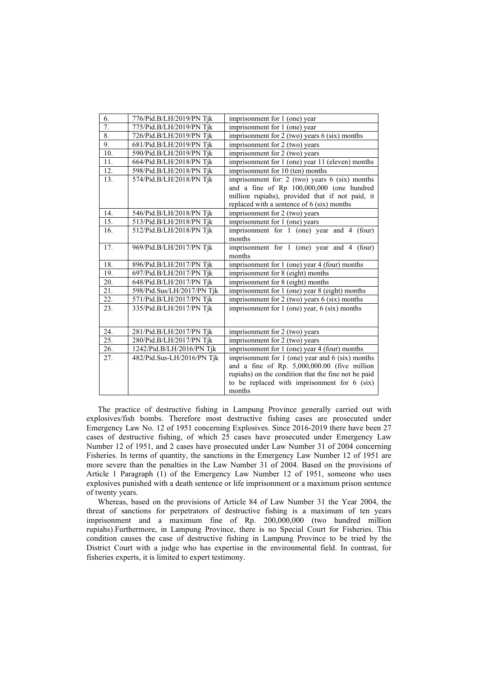| 6.  | 776/Pid.B/LH/2019/PN Tjk   | imprisonment for 1 (one) year                       |
|-----|----------------------------|-----------------------------------------------------|
| 7.  | 775/Pid.B/LH/2019/PN Tjk   | imprisonment for 1 (one) year                       |
| 8.  | 726/Pid.B/LH/2019/PN Tik   | imprisonment for $2$ (two) years $6$ (six) months   |
| 9.  | 681/Pid.B/LH/2019/PN Tjk   | imprisonment for 2 (two) years                      |
| 10. | 590/Pid.B/LH/2019/PN Tjk   | imprisonment for 2 (two) years                      |
| 11. | 664/Pid.B/LH/2018/PN Tik   | imprisonment for 1 (one) year 11 (eleven) months    |
| 12. | 598/Pid.B/LH/2018/PN Tjk   | imprisonment for 10 (ten) months                    |
| 13. | 574/Pid.B/LH/2018/PN Tjk   | imprisonment for: 2 (two) years $6$ (six) months    |
|     |                            | and a fine of Rp 100,000,000 (one hundred           |
|     |                            | million rupiahs), provided that if not paid, it     |
|     |                            | replaced with a sentence of 6 (six) months          |
| 14. | 546/Pid.B/LH/2018/PN Tjk   | imprisonment for 2 (two) years                      |
| 15. | 513/Pid.B/LH/2018/PN Tjk   | imprisonment for 1 (one) years                      |
| 16. | 512/Pid.B/LH/2018/PN Tjk   | imprisonment for 1 (one) year and 4 (four)          |
|     |                            | months                                              |
| 17. | 969/Pid.B/LH/2017/PN Tjk   | imprisonment for 1 (one) year and 4 (four)          |
|     |                            | months                                              |
| 18. | 896/Pid.B/LH/2017/PN Tjk   | imprisonment for 1 (one) year 4 (four) months       |
| 19. | 697/Pid.B/LH/2017/PN Tjk   | imprisonment for 8 (eight) months                   |
| 20. | 648/Pid.B/LH/2017/PN Tjk   | imprisonment for 8 (eight) months                   |
| 21. | 598/Pid.Sus/LH/2017/PN Tjk | imprisonment for 1 (one) year 8 (eight) months      |
| 22. | 571/Pid.B/LH/2017/PN Tjk   | imprisonment for $2$ (two) years $6$ (six) months   |
| 23. | 335/Pid.B/LH/2017/PN Tik   | imprisonment for $1$ (one) year, $6$ (six) months   |
|     |                            |                                                     |
| 24. |                            |                                                     |
| 25. | 281/Pid.B/LH/2017/PN Tjk   | imprisonment for 2 (two) years                      |
|     | 280/Pid.B/LH/2017/PN Tik   | imprisonment for 2 (two) years                      |
| 26. | 1242/Pid.B/LH/2016/PN Tjk  | imprisonment for 1 (one) year 4 (four) months       |
| 27. | 482/Pid.Sus-LH/2016/PN Tjk | imprisonment for 1 (one) year and 6 (six) months    |
|     |                            | and a fine of Rp. 5,000,000.00 (five million        |
|     |                            | rupiahs) on the condition that the fine not be paid |
|     |                            | to be replaced with imprisonment for 6 (six)        |
|     |                            | months                                              |

The practice of destructive fishing in Lampung Province generally carried out with explosives/fish bombs. Therefore most destructive fishing cases are prosecuted under Emergency Law No. 12 of 1951 concerning Explosives. Since 2016-2019 there have been 27 cases of destructive fishing, of which 25 cases have prosecuted under Emergency Law Number 12 of 1951, and 2 cases have prosecuted under Law Number 31 of 2004 concerning Fisheries. In terms of quantity, the sanctions in the Emergency Law Number 12 of 1951 are more severe than the penalties in the Law Number 31 of 2004. Based on the provisions of Article 1 Paragraph (1) of the Emergency Law Number 12 of 1951, someone who uses explosives punished with a death sentence or life imprisonment or a maximum prison sentence of twenty years.

Whereas, based on the provisions of Article 84 of Law Number 31 the Year 2004, the threat of sanctions for perpetrators of destructive fishing is a maximum of ten years imprisonment and a maximum fine of Rp. 200,000,000 (two hundred million rupiahs).Furthermore, in Lampung Province, there is no Special Court for Fisheries. This condition causes the case of destructive fishing in Lampung Province to be tried by the District Court with a judge who has expertise in the environmental field. In contrast, for fisheries experts, it is limited to expert testimony.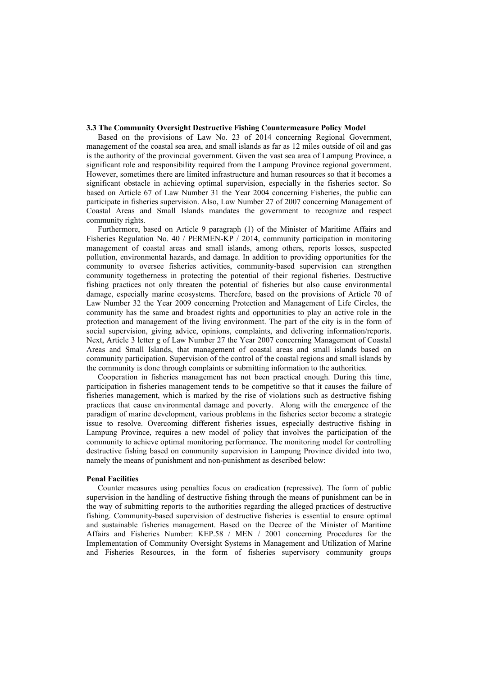#### **3.3 The Community Oversight Destructive Fishing Countermeasure Policy Model**

Based on the provisions of Law No. 23 of 2014 concerning Regional Government, management of the coastal sea area, and small islands as far as 12 miles outside of oil and gas is the authority of the provincial government. Given the vast sea area of Lampung Province, a significant role and responsibility required from the Lampung Province regional government. However, sometimes there are limited infrastructure and human resources so that it becomes a significant obstacle in achieving optimal supervision, especially in the fisheries sector. So based on Article 67 of Law Number 31 the Year 2004 concerning Fisheries, the public can participate in fisheries supervision. Also, Law Number 27 of 2007 concerning Management of Coastal Areas and Small Islands mandates the government to recognize and respect community rights.

Furthermore, based on Article 9 paragraph (1) of the Minister of Maritime Affairs and Fisheries Regulation No. 40 / PERMEN-KP / 2014, community participation in monitoring management of coastal areas and small islands, among others, reports losses, suspected pollution, environmental hazards, and damage. In addition to providing opportunities for the community to oversee fisheries activities, community-based supervision can strengthen community togetherness in protecting the potential of their regional fisheries. Destructive fishing practices not only threaten the potential of fisheries but also cause environmental damage, especially marine ecosystems. Therefore, based on the provisions of Article 70 of Law Number 32 the Year 2009 concerning Protection and Management of Life Circles, the community has the same and broadest rights and opportunities to play an active role in the protection and management of the living environment. The part of the city is in the form of social supervision, giving advice, opinions, complaints, and delivering information/reports. Next, Article 3 letter g of Law Number 27 the Year 2007 concerning Management of Coastal Areas and Small Islands, that management of coastal areas and small islands based on community participation. Supervision of the control of the coastal regions and small islands by the community is done through complaints or submitting information to the authorities.

Cooperation in fisheries management has not been practical enough. During this time, participation in fisheries management tends to be competitive so that it causes the failure of fisheries management, which is marked by the rise of violations such as destructive fishing practices that cause environmental damage and poverty. Along with the emergence of the paradigm of marine development, various problems in the fisheries sector become a strategic issue to resolve. Overcoming different fisheries issues, especially destructive fishing in Lampung Province, requires a new model of policy that involves the participation of the community to achieve optimal monitoring performance. The monitoring model for controlling destructive fishing based on community supervision in Lampung Province divided into two, namely the means of punishment and non-punishment as described below:

#### **Penal Facilities**

Counter measures using penalties focus on eradication (repressive). The form of public supervision in the handling of destructive fishing through the means of punishment can be in the way of submitting reports to the authorities regarding the alleged practices of destructive fishing. Community-based supervision of destructive fisheries is essential to ensure optimal and sustainable fisheries management. Based on the Decree of the Minister of Maritime Affairs and Fisheries Number: KEP.58 / MEN / 2001 concerning Procedures for the Implementation of Community Oversight Systems in Management and Utilization of Marine and Fisheries Resources, in the form of fisheries supervisory community groups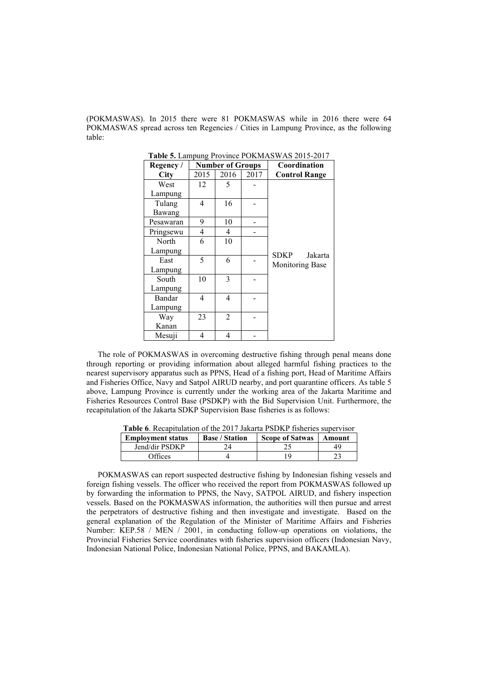(POKMASWAS). In 2015 there were 81 POKMASWAS while in 2016 there were 64 POKMASWAS spread across ten Regencies / Cities in Lampung Province, as the following table:

| Regency /   | $\frac{1}{2}$ of Bampang 110, mot 1 011. The $\frac{1}{2}$ of $\frac{1}{2}$<br><b>Number of Groups</b> |                |      | Coordination         |
|-------------|--------------------------------------------------------------------------------------------------------|----------------|------|----------------------|
| <b>City</b> | 2015                                                                                                   | 2016           | 2017 | <b>Control Range</b> |
| West        | 12                                                                                                     |                |      |                      |
| Lampung     |                                                                                                        |                |      |                      |
| Tulang      | 4                                                                                                      | 16             |      |                      |
| Bawang      |                                                                                                        |                |      |                      |
| Pesawaran   | 9                                                                                                      | 10             |      |                      |
| Pringsewu   | 4                                                                                                      | 4              |      |                      |
| North       | 6                                                                                                      | 10             |      |                      |
| Lampung     |                                                                                                        |                |      | SDKP<br>Jakarta      |
| East        | 5                                                                                                      | 6              |      | Monitoring Base      |
| Lampung     |                                                                                                        |                |      |                      |
| South       | 10                                                                                                     | 3              |      |                      |
| Lampung     |                                                                                                        |                |      |                      |
| Bandar      | 4                                                                                                      | 4              |      |                      |
| Lampung     |                                                                                                        |                |      |                      |
| Way         | 23                                                                                                     | $\mathfrak{D}$ |      |                      |
| Kanan       |                                                                                                        |                |      |                      |
| Mesuji      | 4                                                                                                      | 4              |      |                      |

**Table 5.** Lampung Province POKMASWAS 2015-2017

The role of POKMASWAS in overcoming destructive fishing through penal means done through reporting or providing information about alleged harmful fishing practices to the nearest supervisory apparatus such as PPNS, Head of a fishing port, Head of Maritime Affairs and Fisheries Office, Navy and Satpol AIRUD nearby, and port quarantine officers. As table 5 above, Lampung Province is currently under the working area of the Jakarta Maritime and Fisheries Resources Control Base (PSDKP) with the Bid Supervision Unit. Furthermore, the recapitulation of the Jakarta SDKP Supervision Base fisheries is as follows:

**Table 6**. Recapitulation of the 2017 Jakarta PSDKP fisheries supervisor

| <b>Employment status</b> | <b>Base / Station</b> | <b>Scope of Satwas</b> | Amount |
|--------------------------|-----------------------|------------------------|--------|
| Jend/dir PSDKP           |                       |                        |        |
| <b>T</b> fices           |                       |                        |        |

POKMASWAS can report suspected destructive fishing by Indonesian fishing vessels and foreign fishing vessels. The officer who received the report from POKMASWAS followed up by forwarding the information to PPNS, the Navy, SATPOL AIRUD, and fishery inspection vessels. Based on the POKMASWAS information, the authorities will then pursue and arrest the perpetrators of destructive fishing and then investigate and investigate. Based on the general explanation of the Regulation of the Minister of Maritime Affairs and Fisheries Number: KEP.58 / MEN / 2001, in conducting follow-up operations on violations, the Provincial Fisheries Service coordinates with fisheries supervision officers (Indonesian Navy, Indonesian National Police, Indonesian National Police, PPNS, and BAKAMLA).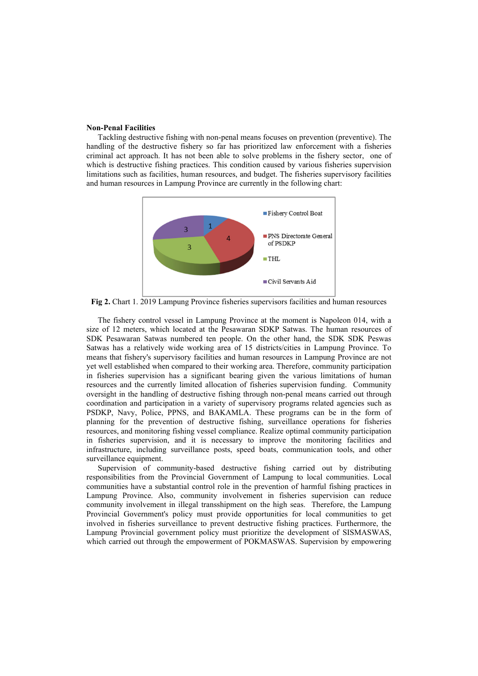#### **Non-Penal Facilities**

Tackling destructive fishing with non-penal means focuses on prevention (preventive). The handling of the destructive fishery so far has prioritized law enforcement with a fisheries criminal act approach. It has not been able to solve problems in the fishery sector, one of which is destructive fishing practices. This condition caused by various fisheries supervision limitations such as facilities, human resources, and budget. The fisheries supervisory facilities and human resources in Lampung Province are currently in the following chart:



**Fig 2.** Chart 1. 2019 Lampung Province fisheries supervisors facilities and human resources

The fishery control vessel in Lampung Province at the moment is Napoleon 014, with a size of 12 meters, which located at the Pesawaran SDKP Satwas. The human resources of SDK Pesawaran Satwas numbered ten people. On the other hand, the SDK SDK Peswas Satwas has a relatively wide working area of 15 districts/cities in Lampung Province. To means that fishery's supervisory facilities and human resources in Lampung Province are not yet well established when compared to their working area. Therefore, community participation in fisheries supervision has a significant bearing given the various limitations of human resources and the currently limited allocation of fisheries supervision funding. Community oversight in the handling of destructive fishing through non-penal means carried out through coordination and participation in a variety of supervisory programs related agencies such as PSDKP, Navy, Police, PPNS, and BAKAMLA. These programs can be in the form of planning for the prevention of destructive fishing, surveillance operations for fisheries resources, and monitoring fishing vessel compliance. Realize optimal community participation in fisheries supervision, and it is necessary to improve the monitoring facilities and infrastructure, including surveillance posts, speed boats, communication tools, and other surveillance equipment.

Supervision of community-based destructive fishing carried out by distributing responsibilities from the Provincial Government of Lampung to local communities. Local communities have a substantial control role in the prevention of harmful fishing practices in Lampung Province. Also, community involvement in fisheries supervision can reduce community involvement in illegal transshipment on the high seas. Therefore, the Lampung Provincial Government's policy must provide opportunities for local communities to get involved in fisheries surveillance to prevent destructive fishing practices. Furthermore, the Lampung Provincial government policy must prioritize the development of SISMASWAS, which carried out through the empowerment of POKMASWAS. Supervision by empowering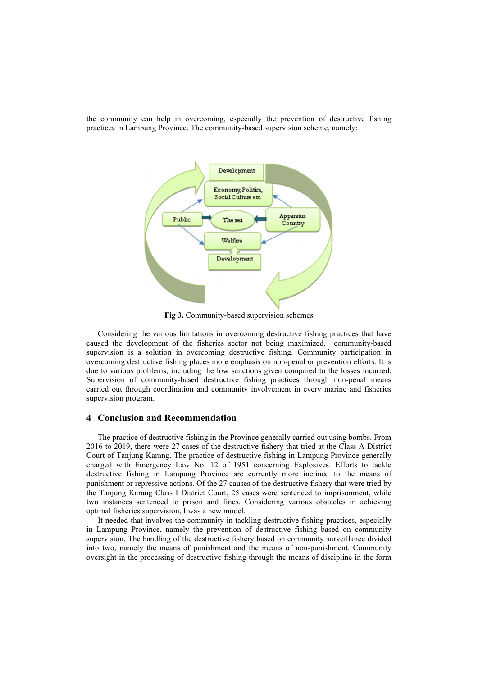the community can help in overcoming, especially the prevention of destructive fishing practices in Lampung Province. The community-based supervision scheme, namely:



**Fig 3.** Community-based supervision schemes

Considering the various limitations in overcoming destructive fishing practices that have caused the development of the fisheries sector not being maximized, community-based supervision is a solution in overcoming destructive fishing. Community participation in overcoming destructive fishing places more emphasis on non-penal or prevention efforts. It is due to various problems, including the low sanctions given compared to the losses incurred. Supervision of community-based destructive fishing practices through non-penal means carried out through coordination and community involvement in every marine and fisheries supervision program.

## **4 Conclusion and Recommendation**

The practice of destructive fishing in the Province generally carried out using bombs. From 2016 to 2019, there were 27 cases of the destructive fishery that tried at the Class A District Court of Tanjung Karang. The practice of destructive fishing in Lampung Province generally charged with Emergency Law No. 12 of 1951 concerning Explosives. Efforts to tackle destructive fishing in Lampung Province are currently more inclined to the means of punishment or repressive actions. Of the 27 causes of the destructive fishery that were tried by the Tanjung Karang Class I District Court, 25 cases were sentenced to imprisonment, while two instances sentenced to prison and fines. Considering various obstacles in achieving optimal fisheries supervision, I was a new model.

It needed that involves the community in tackling destructive fishing practices, especially in Lampung Province, namely the prevention of destructive fishing based on community supervision. The handling of the destructive fishery based on community surveillance divided into two, namely the means of punishment and the means of non-punishment. Community oversight in the processing of destructive fishing through the means of discipline in the form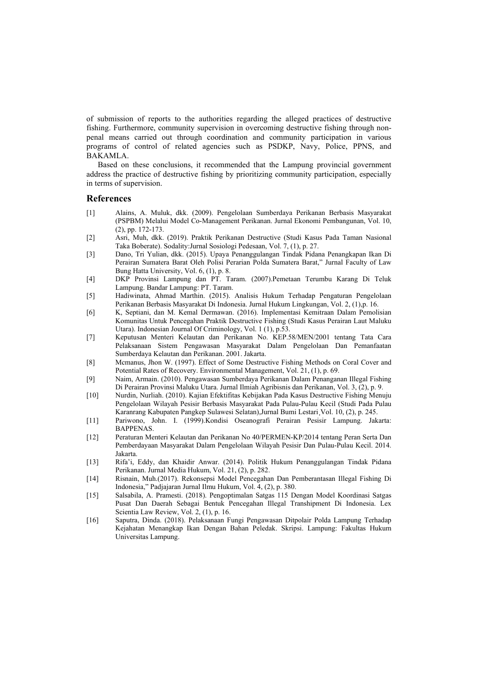of submission of reports to the authorities regarding the alleged practices of destructive fishing. Furthermore, community supervision in overcoming destructive fishing through nonpenal means carried out through coordination and community participation in various programs of control of related agencies such as PSDKP, Navy, Police, PPNS, and BAKAMLA.

Based on these conclusions, it recommended that the Lampung provincial government address the practice of destructive fishing by prioritizing community participation, especially in terms of supervision.

## **References**

- [1] Alains, A. Muluk, dkk. (2009). Pengelolaan Sumberdaya Perikanan Berbasis Masyarakat (PSPBM) Melalui Model Co-Management Perikanan. Jurnal Ekonomi Pembangunan, Vol. 10, (2), pp. 172-173.
- [2] Asri, Muh, dkk. (2019). Praktik Perikanan Destructive (Studi Kasus Pada Taman Nasional Taka Boberate). Sodality:Jurnal Sosiologi Pedesaan, Vol. 7, (1), p. 27.
- [3] Dano, Tri Yulian, dkk. (2015). Upaya Penanggulangan Tindak Pidana Penangkapan Ikan Di Perairan Sumatera Barat Oleh Polisi Perarian Polda Sumatera Barat," Jurnal Faculty of Law Bung Hatta University, Vol. 6, (1), p. 8.
- [4] DKP Provinsi Lampung dan PT. Taram. (2007).Pemetaan Terumbu Karang Di Teluk Lampung. Bandar Lampung: PT. Taram.
- [5] Hadiwinata, Ahmad Marthin. (2015). Analisis Hukum Terhadap Pengaturan Pengelolaan Perikanan Berbasis Masyarakat Di Indonesia. Jurnal Hukum Lingkungan, Vol. 2, (1),p. 16.
- [6] K, Septiani, dan M. Kemal Dermawan. (2016). Implementasi Kemitraan Dalam Pemolisian Komunitas Untuk Pencegahan Praktik Destructive Fishing (Studi Kasus Perairan Laut Maluku Utara). Indonesian Journal Of Criminology, Vol. 1 (1), p.53.
- [7] Keputusan Menteri Kelautan dan Perikanan No. KEP.58/MEN/2001 tentang Tata Cara Pelaksanaan Sistem Pengawasan Masyarakat Dalam Pengelolaan Dan Pemanfaatan Sumberdaya Kelautan dan Perikanan. 2001. Jakarta.
- [8] Mcmanus, Jhon W. (1997). Effect of Some Destructive Fishing Methods on Coral Cover and Potential Rates of Recovery. Environmental Management, Vol. 21, (1), p. 69.
- [9] Naim, Armain. (2010). Pengawasan Sumberdaya Perikanan Dalam Penanganan Illegal Fishing Di Perairan Provinsi Maluku Utara. Jurnal Ilmiah Agribisnis dan Perikanan, Vol. 3, (2), p. 9.
- [10] Nurdin, Nurliah. (2010). Kajian Efektifitas Kebijakan Pada Kasus Destructive Fishing Menuju Pengelolaan Wilayah Pesisir Berbasis Masyarakat Pada Pulau-Pulau Kecil (Studi Pada Pulau Karanrang Kabupaten Pangkep Sulawesi Selatan),Jurnal Bumi Lestari¸Vol. 10, (2), p. 245.
- [11] Pariwono, John. I. (1999).Kondisi Oseanografi Perairan Pesisir Lampung. Jakarta: BAPPENAS.
- [12] Peraturan Menteri Kelautan dan Perikanan No 40/PERMEN-KP/2014 tentang Peran Serta Dan Pemberdayaan Masyarakat Dalam Pengelolaan Wilayah Pesisir Dan Pulau-Pulau Kecil. 2014. Jakarta.
- [13] Rifa'i, Eddy, dan Khaidir Anwar. (2014). Politik Hukum Penanggulangan Tindak Pidana Perikanan. Jurnal Media Hukum, Vol. 21, (2), p. 282.
- [14] Risnain, Muh.(2017). Rekonsepsi Model Pencegahan Dan Pemberantasan Illegal Fishing Di Indonesia," Padjajaran Jurnal Ilmu Hukum, Vol. 4, (2), p. 380.
- [15] Salsabila, A. Pramesti. (2018). Pengoptimalan Satgas 115 Dengan Model Koordinasi Satgas Pusat Dan Daerah Sebagai Bentuk Pencegahan Illegal Transhipment Di Indonesia. Lex Scientia Law Review, Vol. 2, (1), p. 16.
- [16] Saputra, Dinda. (2018). Pelaksanaan Fungi Pengawasan Ditpolair Polda Lampung Terhadap Kejahatan Menangkap Ikan Dengan Bahan Peledak. Skripsi. Lampung: Fakultas Hukum Universitas Lampung.